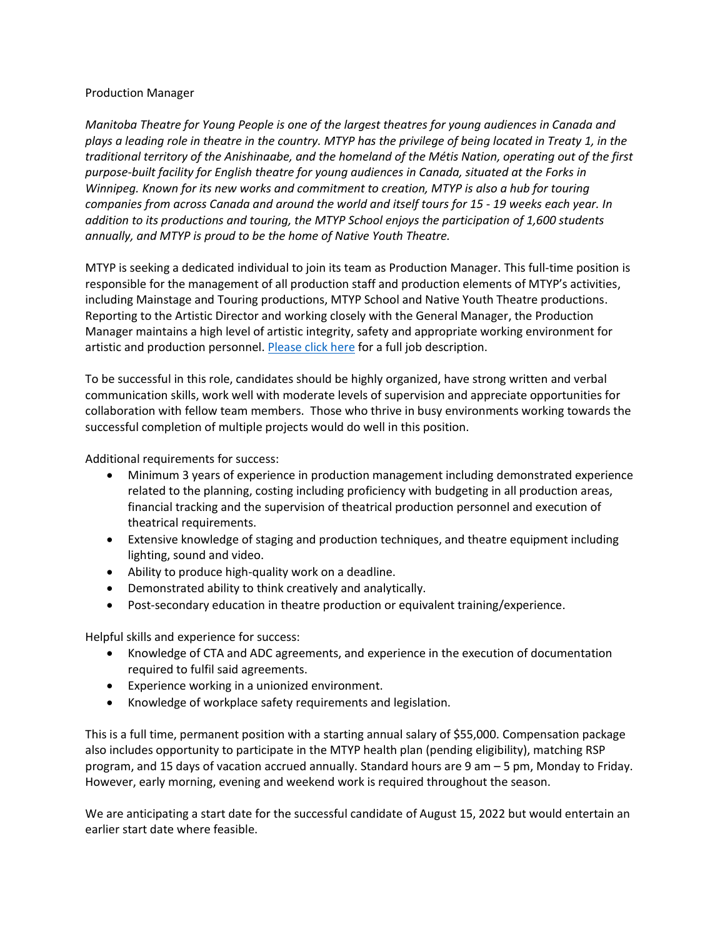## Production Manager

*Manitoba Theatre for Young People is one of the largest theatres for young audiences in Canada and plays a leading role in theatre in the country. MTYP has the privilege of being located in Treaty 1, in the traditional territory of the Anishinaabe, and the homeland of the Métis Nation, operating out of the first purpose-built facility for English theatre for young audiences in Canada, situated at the Forks in Winnipeg. Known for its new works and commitment to creation, MTYP is also a hub for touring companies from across Canada and around the world and itself tours for 15 - 19 weeks each year. In addition to its productions and touring, the MTYP School enjoys the participation of 1,600 students annually, and MTYP is proud to be the home of Native Youth Theatre.*

MTYP is seeking a dedicated individual to join its team as Production Manager. This full-time position is responsible for the management of all production staff and production elements of MTYP's activities, including Mainstage and Touring productions, MTYP School and Native Youth Theatre productions. Reporting to the Artistic Director and working closely with the General Manager, the Production Manager maintains a high level of artistic integrity, safety and appropriate working environment for artistic and production personnel. [Please click here](https://mtyp.ca/wp-content/uploads/2022/06/Production-Manager-Job-Description.pdf) for a full job description.

To be successful in this role, candidates should be highly organized, have strong written and verbal communication skills, work well with moderate levels of supervision and appreciate opportunities for collaboration with fellow team members. Those who thrive in busy environments working towards the successful completion of multiple projects would do well in this position.

Additional requirements for success:

- Minimum 3 years of experience in production management including demonstrated experience related to the planning, costing including proficiency with budgeting in all production areas, financial tracking and the supervision of theatrical production personnel and execution of theatrical requirements.
- Extensive knowledge of staging and production techniques, and theatre equipment including lighting, sound and video.
- Ability to produce high-quality work on a deadline.
- Demonstrated ability to think creatively and analytically.
- Post-secondary education in theatre production or equivalent training/experience.

Helpful skills and experience for success:

- Knowledge of CTA and ADC agreements, and experience in the execution of documentation required to fulfil said agreements.
- Experience working in a unionized environment.
- Knowledge of workplace safety requirements and legislation.

This is a full time, permanent position with a starting annual salary of \$55,000. Compensation package also includes opportunity to participate in the MTYP health plan (pending eligibility), matching RSP program, and 15 days of vacation accrued annually. Standard hours are 9 am – 5 pm, Monday to Friday. However, early morning, evening and weekend work is required throughout the season.

We are anticipating a start date for the successful candidate of August 15, 2022 but would entertain an earlier start date where feasible.